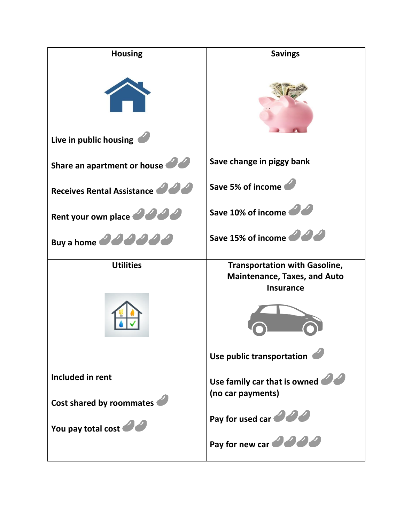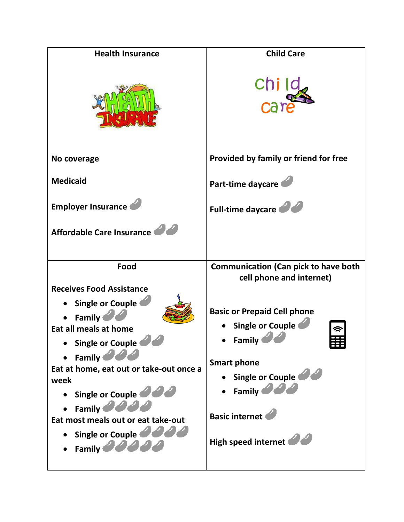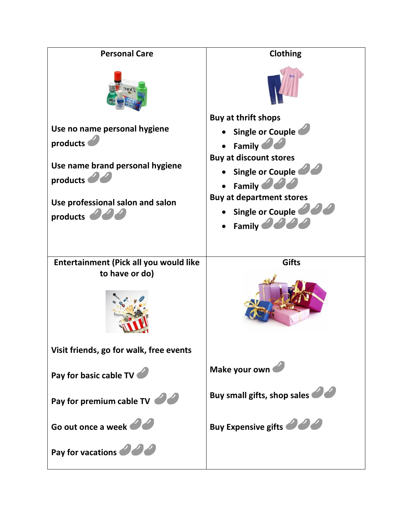| <b>Personal Care</b>                                                                        | <b>Clothing</b>                                                                                                                                            |
|---------------------------------------------------------------------------------------------|------------------------------------------------------------------------------------------------------------------------------------------------------------|
|                                                                                             | <b>Buy at thrift shops</b>                                                                                                                                 |
| Use no name personal hygiene                                                                | Single or Couple                                                                                                                                           |
| products                                                                                    | <b>Family</b>                                                                                                                                              |
| Use name brand personal hygiene<br>products<br>Use professional salon and salon<br>products | <b>Buy at discount stores</b><br><b>Single or Couple</b><br>Family<br><b>Buy at department stores</b><br>Single or Couple<br>Family $\partial \mathcal{L}$ |
|                                                                                             |                                                                                                                                                            |
| Entertainment (Pick all you would like<br>to have or do)                                    | <b>Gifts</b>                                                                                                                                               |
| Visit friends, go for walk, free events                                                     |                                                                                                                                                            |
|                                                                                             |                                                                                                                                                            |
| Pay for basic cable TV                                                                      | Make your own                                                                                                                                              |
| Pay for premium cable TV                                                                    | Buy small gifts, shop sales                                                                                                                                |
| Go out once a week                                                                          | <b>Buy Expensive gifts</b>                                                                                                                                 |